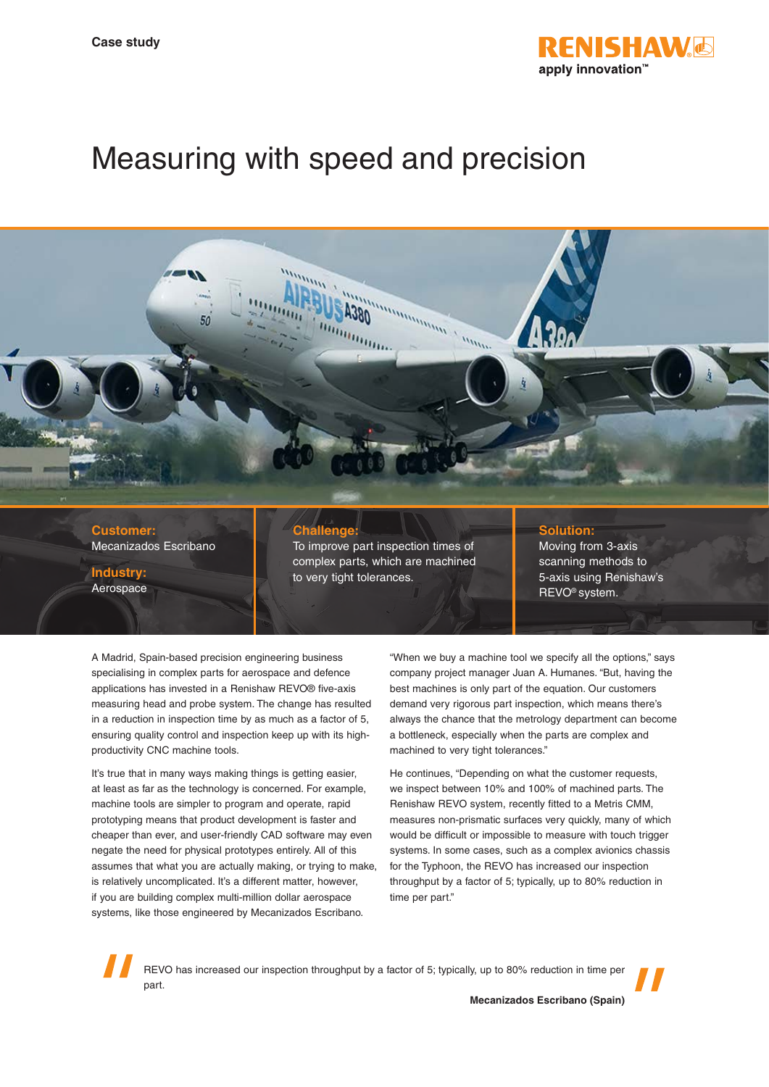

# Measuring with speed and precision



#### **Customer:** Mecanizados Escribano

**Industry:** Aerospace

### **Challenge:**

To improve part inspection times of complex parts, which are machined to very tight tolerances.

#### **Solution:**

Moving from 3-axis scanning methods to 5-axis using Renishaw's REVO® system.

A Madrid, Spain-based precision engineering business specialising in complex parts for aerospace and defence applications has invested in a Renishaw REVO® five-axis measuring head and probe system. The change has resulted in a reduction in inspection time by as much as a factor of 5, ensuring quality control and inspection keep up with its highproductivity CNC machine tools.

It's true that in many ways making things is getting easier, at least as far as the technology is concerned. For example, machine tools are simpler to program and operate, rapid prototyping means that product development is faster and cheaper than ever, and user-friendly CAD software may even negate the need for physical prototypes entirely. All of this assumes that what you are actually making, or trying to make, is relatively uncomplicated. It's a different matter, however, if you are building complex multi-million dollar aerospace systems, like those engineered by Mecanizados Escribano.

"When we buy a machine tool we specify all the options," says company project manager Juan A. Humanes. "But, having the best machines is only part of the equation. Our customers demand very rigorous part inspection, which means there's always the chance that the metrology department can become a bottleneck, especially when the parts are complex and machined to very tight tolerances."

He continues, "Depending on what the customer requests, we inspect between 10% and 100% of machined parts. The Renishaw REVO system, recently fitted to a Metris CMM, measures non-prismatic surfaces very quickly, many of which would be difficult or impossible to measure with touch trigger systems. In some cases, such as a complex avionics chassis for the Typhoon, the REVO has increased our inspection throughput by a factor of 5; typically, up to 80% reduction in time per part."

REVO has increased our inspection throughput by a factor of 5; typically, up to 80% reduction in time per part.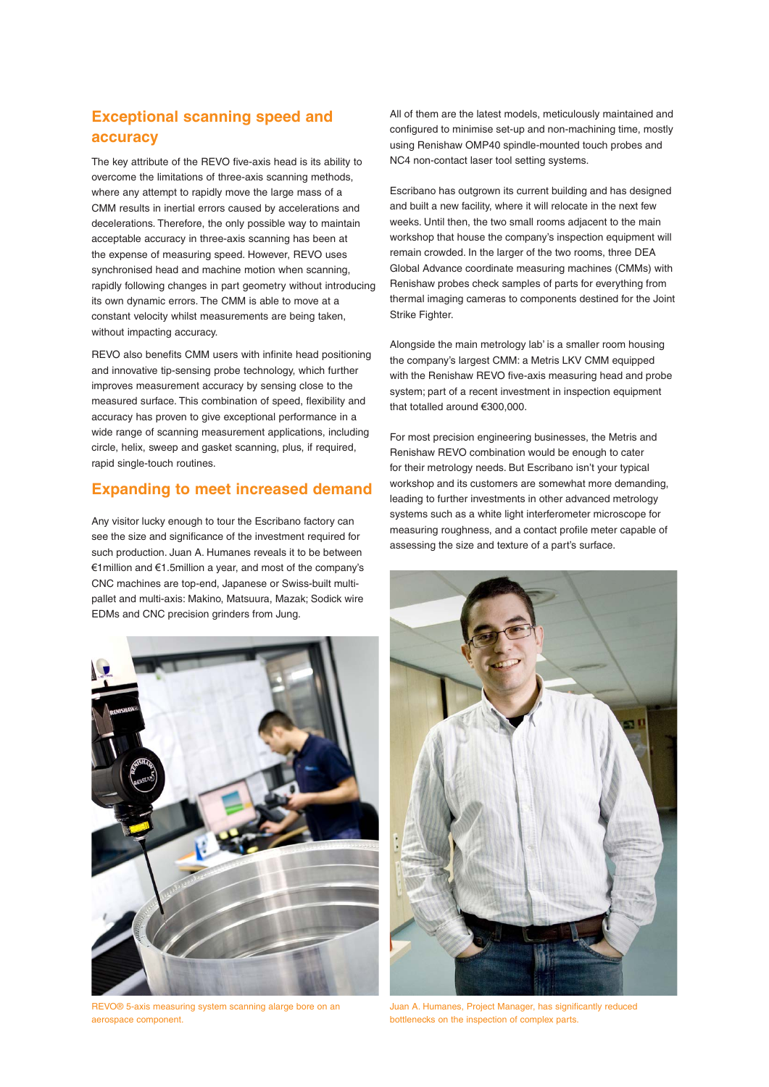## **Exceptional scanning speed and accuracy**

The key attribute of the REVO five-axis head is its ability to overcome the limitations of three-axis scanning methods, where any attempt to rapidly move the large mass of a CMM results in inertial errors caused by accelerations and decelerations. Therefore, the only possible way to maintain acceptable accuracy in three-axis scanning has been at the expense of measuring speed. However, REVO uses synchronised head and machine motion when scanning, rapidly following changes in part geometry without introducing its own dynamic errors. The CMM is able to move at a constant velocity whilst measurements are being taken, without impacting accuracy.

REVO also benefits CMM users with infinite head positioning and innovative tip-sensing probe technology, which further improves measurement accuracy by sensing close to the measured surface. This combination of speed, flexibility and accuracy has proven to give exceptional performance in a wide range of scanning measurement applications, including circle, helix, sweep and gasket scanning, plus, if required, rapid single-touch routines.

#### **Expanding to meet increased demand**

Any visitor lucky enough to tour the Escribano factory can see the size and significance of the investment required for such production. Juan A. Humanes reveals it to be between €1million and €1.5million a year, and most of the company's CNC machines are top-end, Japanese or Swiss-built multipallet and multi-axis: Makino, Matsuura, Mazak; Sodick wire EDMs and CNC precision grinders from Jung.



REVO® 5-axis measuring system scanning alarge bore on an aerospace component.

All of them are the latest models, meticulously maintained and configured to minimise set-up and non-machining time, mostly using Renishaw OMP40 spindle-mounted touch probes and NC4 non-contact laser tool setting systems.

Escribano has outgrown its current building and has designed and built a new facility, where it will relocate in the next few weeks. Until then, the two small rooms adjacent to the main workshop that house the company's inspection equipment will remain crowded. In the larger of the two rooms, three DEA Global Advance coordinate measuring machines (CMMs) with Renishaw probes check samples of parts for everything from thermal imaging cameras to components destined for the Joint Strike Fighter.

Alongside the main metrology lab' is a smaller room housing the company's largest CMM: a Metris LKV CMM equipped with the Renishaw REVO five-axis measuring head and probe system; part of a recent investment in inspection equipment that totalled around €300,000.

For most precision engineering businesses, the Metris and Renishaw REVO combination would be enough to cater for their metrology needs. But Escribano isn't your typical workshop and its customers are somewhat more demanding, leading to further investments in other advanced metrology systems such as a white light interferometer microscope for measuring roughness, and a contact profile meter capable of assessing the size and texture of a part's surface.



Juan A. Humanes, Project Manager, has significantly reduced bottlenecks on the inspection of complex parts.